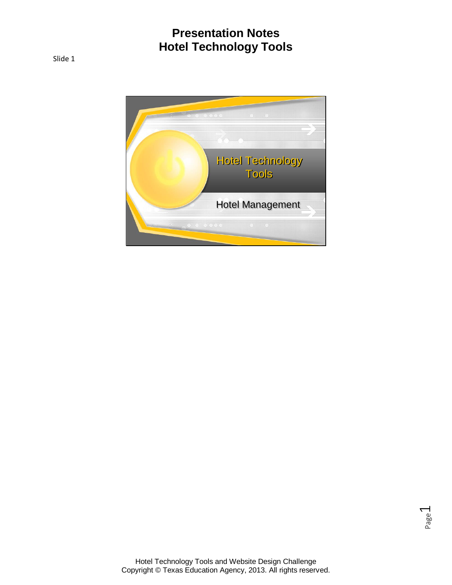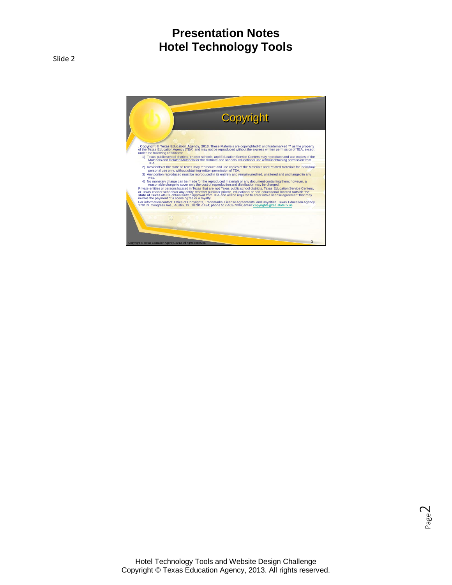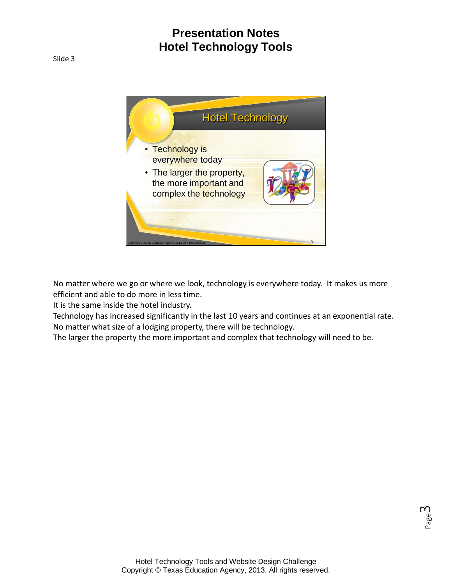

No matter where we go or where we look, technology is everywhere today. It makes us more efficient and able to do more in less time.

It is the same inside the hotel industry.

Technology has increased significantly in the last 10 years and continues at an exponential rate. No matter what size of a lodging property, there will be technology.

The larger the property the more important and complex that technology will need to be.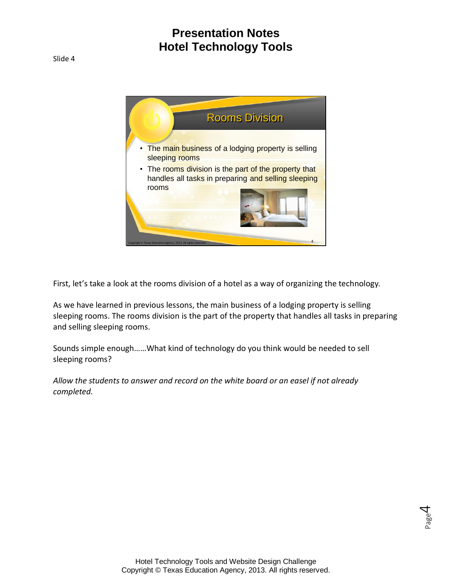

First, let's take a look at the rooms division of a hotel as a way of organizing the technology.

As we have learned in previous lessons, the main business of a lodging property is selling sleeping rooms. The rooms division is the part of the property that handles all tasks in preparing and selling sleeping rooms.

Sounds simple enough……What kind of technology do you think would be needed to sell sleeping rooms?

*Allow the students to answer and record on the white board or an easel if not already completed.*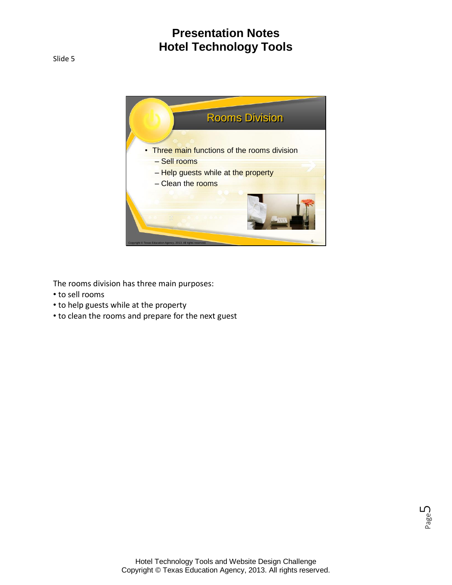

The rooms division has three main purposes:

- to sell rooms
- to help guests while at the property
- to clean the rooms and prepare for the next guest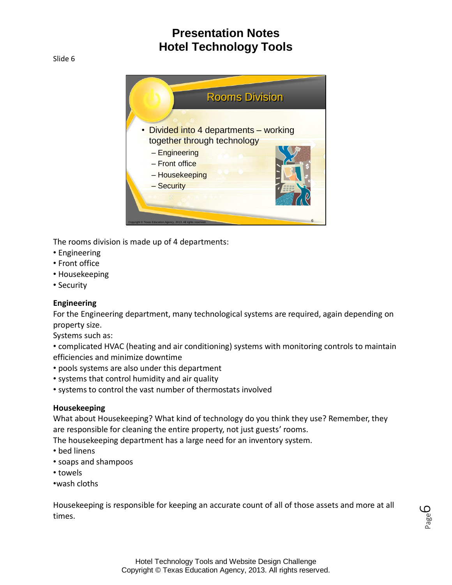Slide 6



The rooms division is made up of 4 departments:

- Engineering
- Front office
- Housekeeping
- Security

#### **Engineering**

For the Engineering department, many technological systems are required, again depending on property size.

Systems such as:

• complicated HVAC (heating and air conditioning) systems with monitoring controls to maintain efficiencies and minimize downtime

- pools systems are also under this department
- systems that control humidity and air quality
- systems to control the vast number of thermostats involved

#### **Housekeeping**

What about Housekeeping? What kind of technology do you think they use? Remember, they are responsible for cleaning the entire property, not just guests' rooms.

The housekeeping department has a large need for an inventory system.

- bed linens
- soaps and shampoos
- towels
- •wash cloths

Housekeeping is responsible for keeping an accurate count of all of those assets and more at all times.

Page ص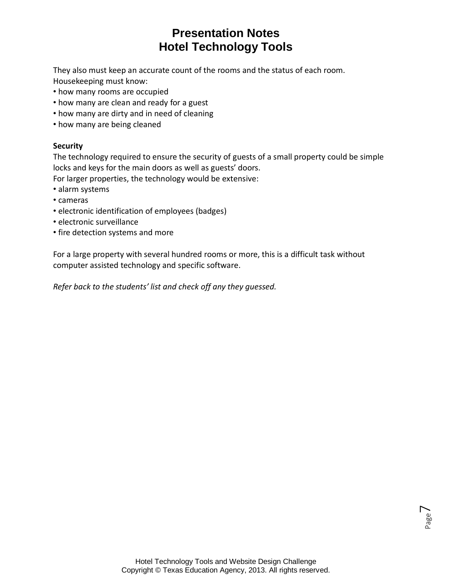They also must keep an accurate count of the rooms and the status of each room. Housekeeping must know:

- how many rooms are occupied
- how many are clean and ready for a guest
- how many are dirty and in need of cleaning
- how many are being cleaned

#### **Security**

The technology required to ensure the security of guests of a small property could be simple locks and keys for the main doors as well as guests' doors.

For larger properties, the technology would be extensive:

- alarm systems
- cameras
- electronic identification of employees (badges)
- electronic surveillance
- fire detection systems and more

For a large property with several hundred rooms or more, this is a difficult task without computer assisted technology and specific software.

*Refer back to the students' list and check off any they guessed.*

Page  $\overline{\phantom{1}}$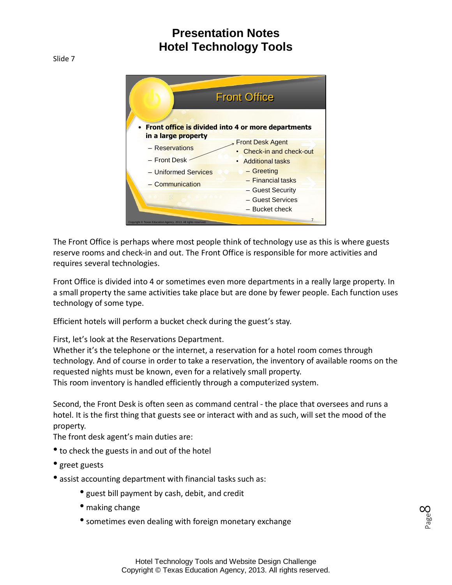Slide 7



The Front Office is perhaps where most people think of technology use as this is where guests reserve rooms and check-in and out. The Front Office is responsible for more activities and requires several technologies.

Front Office is divided into 4 or sometimes even more departments in a really large property. In a small property the same activities take place but are done by fewer people. Each function uses technology of some type.

Efficient hotels will perform a bucket check during the guest's stay.

First, let's look at the Reservations Department.

Whether it's the telephone or the internet, a reservation for a hotel room comes through technology. And of course in order to take a reservation, the inventory of available rooms on the requested nights must be known, even for a relatively small property. This room inventory is handled efficiently through a computerized system.

Second, the Front Desk is often seen as command central - the place that oversees and runs a hotel. It is the first thing that guests see or interact with and as such, will set the mood of the property.

The front desk agent's main duties are:

- to check the guests in and out of the hotel
- greet guests
- assist accounting department with financial tasks such as:
	- guest bill payment by cash, debit, and credit
	- making change
	- sometimes even dealing with foreign monetary exchange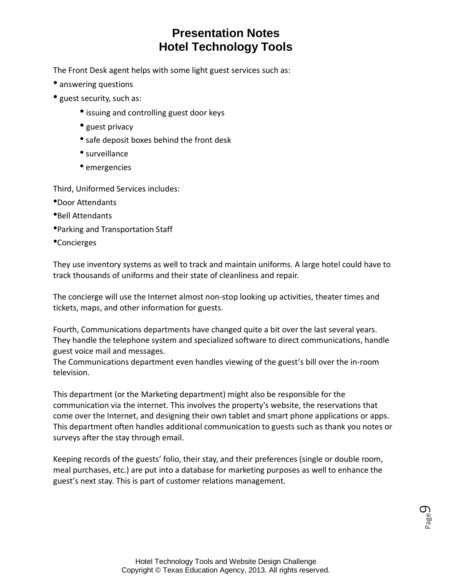The Front Desk agent helps with some light guest services such as:

- answering questions
- guest security, such as:
	- issuing and controlling guest door keys
	- guest privacy
	- safe deposit boxes behind the front desk
	- surveillance
	- emergencies

Third, Uniformed Services includes:

- •Door Attendants
- •Bell Attendants
- •Parking and Transportation Staff
- •Concierges

They use inventory systems as well to track and maintain uniforms. A large hotel could have to track thousands of uniforms and their state of cleanliness and repair.

The concierge will use the Internet almost non-stop looking up activities, theater times and tickets, maps, and other information for guests.

Fourth, Communications departments have changed quite a bit over the last several years. They handle the telephone system and specialized software to direct communications, handle guest voice mail and messages.

The Communications department even handles viewing of the guest's bill over the in-room television.

This department (or the Marketing department) might also be responsible for the communication via the internet. This involves the property's website, the reservations that come over the Internet, and designing their own tablet and smart phone applications or apps. This department often handles additional communication to guests such as thank you notes or surveys after the stay through email.

Keeping records of the guests' folio, their stay, and their preferences (single or double room, meal purchases, etc.) are put into a database for marketing purposes as well to enhance the guest's next stay. This is part of customer relations management.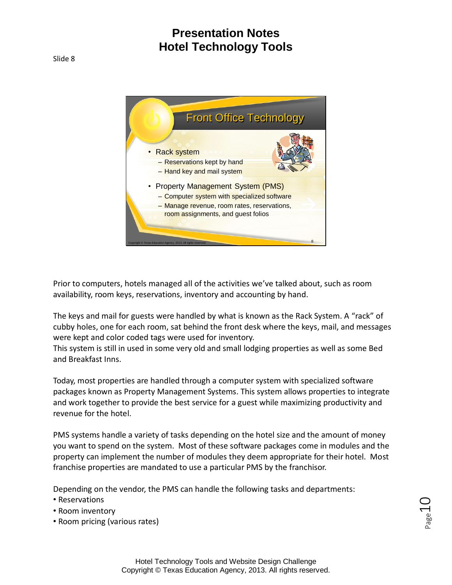

Prior to computers, hotels managed all of the activities we've talked about, such as room availability, room keys, reservations, inventory and accounting by hand.

The keys and mail for guests were handled by what is known as the Rack System. A "rack" of cubby holes, one for each room, sat behind the front desk where the keys, mail, and messages were kept and color coded tags were used for inventory.

This system is still in used in some very old and small lodging properties as well as some Bed and Breakfast Inns.

Today, most properties are handled through a computer system with specialized software packages known as Property Management Systems. This system allows properties to integrate and work together to provide the best service for a guest while maximizing productivity and revenue for the hotel.

PMS systems handle a variety of tasks depending on the hotel size and the amount of money you want to spend on the system. Most of these software packages come in modules and the property can implement the number of modules they deem appropriate for their hotel. Most franchise properties are mandated to use a particular PMS by the franchisor.

Depending on the vendor, the PMS can handle the following tasks and departments:

- Reservations
- Room inventory
- Room pricing (various rates)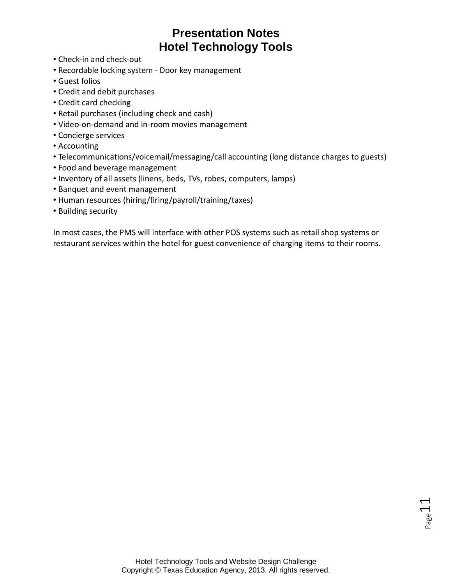- Check-in and check-out
- Recordable locking system Door key management
- Guest folios
- Credit and debit purchases
- Credit card checking
- Retail purchases (including check and cash)
- Video-on-demand and in-room movies management
- Concierge services
- Accounting
- Telecommunications/voicemail/messaging/call accounting (long distance charges to guests)
- Food and beverage management
- Inventory of all assets (linens, beds, TVs, robes, computers, lamps)
- Banquet and event management
- Human resources (hiring/firing/payroll/training/taxes)
- Building security

In most cases, the PMS will interface with other POS systems such as retail shop systems or restaurant services within the hotel for guest convenience of charging items to their rooms.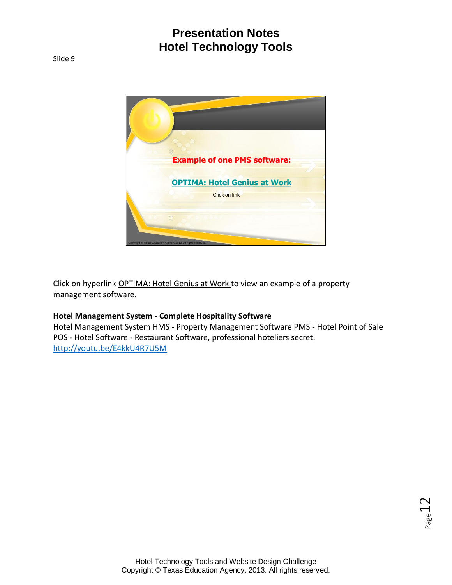

Click on hyperlink OPTIMA: Hotel Genius at Work to view an example of a property management software.

#### **Hotel Management System - Complete Hospitality Software**

Hotel Management System HMS - Property Management Software PMS - Hotel Point of Sale POS - Hotel Software - Restaurant Software, professional hoteliers secret. <http://youtu.be/E4kkU4R7U5M>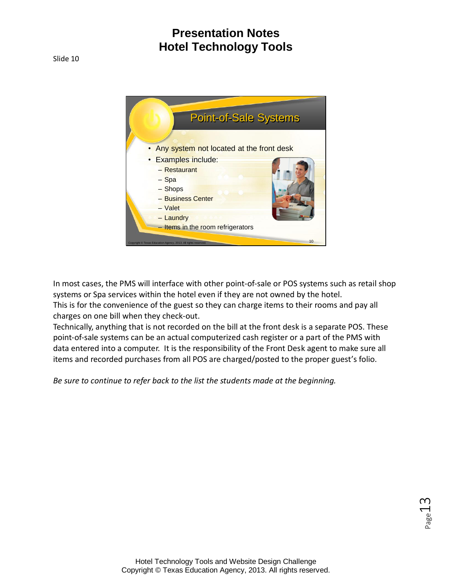

In most cases, the PMS will interface with other point-of-sale or POS systems such as retail shop systems or Spa services within the hotel even if they are not owned by the hotel. This is for the convenience of the guest so they can charge items to their rooms and pay all charges on one bill when they check-out.

Technically, anything that is not recorded on the bill at the front desk is a separate POS. These point-of-sale systems can be an actual computerized cash register or a part of the PMS with data entered into a computer. It is the responsibility of the Front Desk agent to make sure all items and recorded purchases from all POS are charged/posted to the proper guest's folio.

*Be sure to continue to refer back to the list the students made at the beginning.*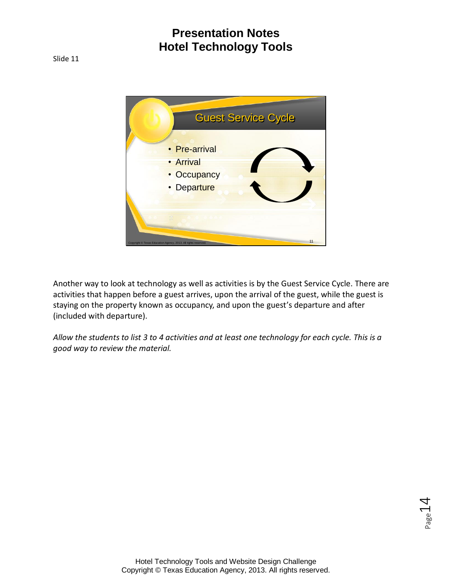



Another way to look at technology as well as activities is by the Guest Service Cycle. There are activities that happen before a guest arrives, upon the arrival of the guest, while the guest is staying on the property known as occupancy, and upon the guest's departure and after (included with departure).

*Allow the students to list 3 to 4 activities and at least one technology for each cycle. This is a good way to review the material.*